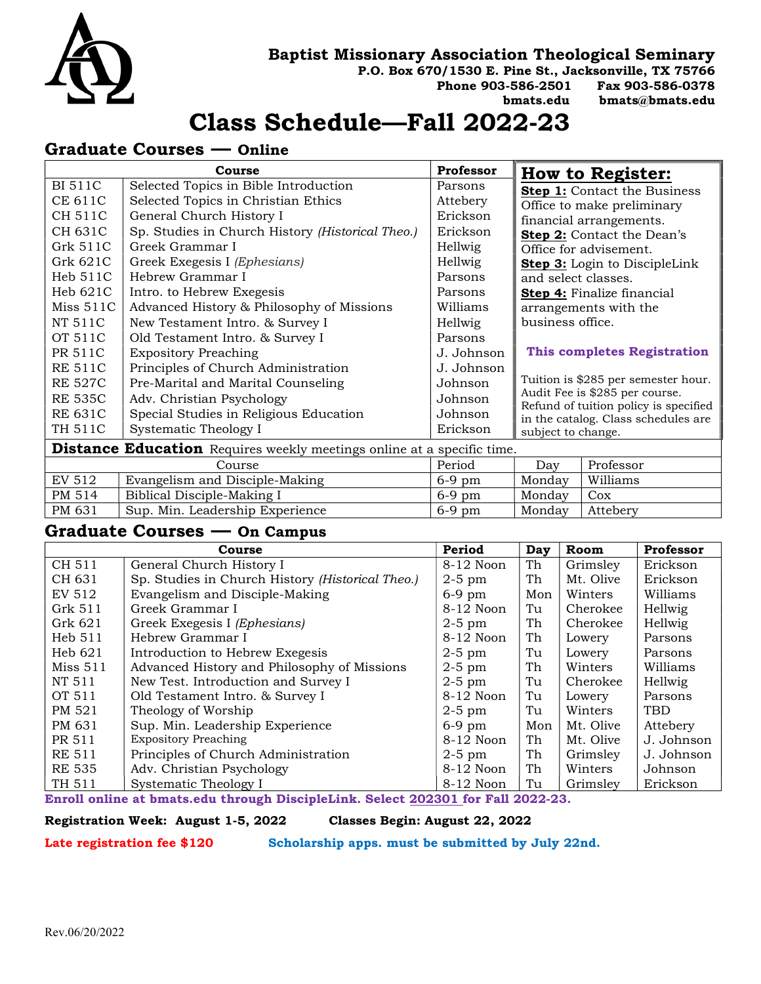

#### Baptist Missionary Association Theological Seminary

P.O. Box 670/1530 E. Pine St., Jacksonville, TX 75766

Phone 903-586-2501 Fax 903-586-0378

bmats.edu bmats@bmats.edu

# Class Schedule—Fall 2022-23

### Graduate Courses — Online

| Course                                                                        |                                                  | Professor  |                                                                                                                                                       | <b>How to Register:</b>              |  |  |
|-------------------------------------------------------------------------------|--------------------------------------------------|------------|-------------------------------------------------------------------------------------------------------------------------------------------------------|--------------------------------------|--|--|
| <b>BI 511C</b>                                                                | Selected Topics in Bible Introduction            | Parsons    |                                                                                                                                                       | <b>Step 1:</b> Contact the Business  |  |  |
| CE 611C                                                                       | Selected Topics in Christian Ethics              | Attebery   | Office to make preliminary<br>financial arrangements.                                                                                                 |                                      |  |  |
| CH 511C                                                                       | General Church History I                         | Erickson   |                                                                                                                                                       |                                      |  |  |
| CH 631C                                                                       | Sp. Studies in Church History (Historical Theo.) | Erickson   |                                                                                                                                                       | Step 2: Contact the Dean's           |  |  |
| Grk 511C                                                                      | Greek Grammar I                                  | Hellwig    |                                                                                                                                                       | Office for advisement.               |  |  |
| Grk 621C                                                                      | Greek Exegesis I (Ephesians)                     | Hellwig    |                                                                                                                                                       | <b>Step 3:</b> Login to DiscipleLink |  |  |
| Heb 511C                                                                      | Hebrew Grammar I                                 | Parsons    | and select classes.                                                                                                                                   |                                      |  |  |
| Heb 621C                                                                      | Intro. to Hebrew Exegesis                        | Parsons    | <b>Step 4:</b> Finalize financial                                                                                                                     |                                      |  |  |
| Miss 511C                                                                     | Advanced History & Philosophy of Missions        | Williams   | arrangements with the                                                                                                                                 |                                      |  |  |
| NT 511C                                                                       | New Testament Intro. & Survey I                  | Hellwig    | business office.                                                                                                                                      |                                      |  |  |
| OT 511C                                                                       | Old Testament Intro. & Survey I                  | Parsons    |                                                                                                                                                       |                                      |  |  |
| PR 511C                                                                       | <b>Expository Preaching</b>                      | J. Johnson | <b>This completes Registration</b>                                                                                                                    |                                      |  |  |
| <b>RE 511C</b>                                                                | Principles of Church Administration              | J. Johnson |                                                                                                                                                       |                                      |  |  |
| <b>RE 527C</b>                                                                | Pre-Marital and Marital Counseling               | Johnson    | Tuition is \$285 per semester hour.<br>Audit Fee is \$285 per course.<br>Refund of tuition policy is specified<br>in the catalog. Class schedules are |                                      |  |  |
| <b>RE 535C</b>                                                                | Adv. Christian Psychology                        | Johnson    |                                                                                                                                                       |                                      |  |  |
| <b>RE 631C</b>                                                                | Special Studies in Religious Education           | Johnson    |                                                                                                                                                       |                                      |  |  |
| TH 511C                                                                       | Systematic Theology I                            | Erickson   | subject to change.                                                                                                                                    |                                      |  |  |
| <b>Distance Education</b> Requires weekly meetings online at a specific time. |                                                  |            |                                                                                                                                                       |                                      |  |  |
| Course                                                                        |                                                  | Period     | Day                                                                                                                                                   | Professor                            |  |  |
| <b>EV 512</b>                                                                 | Evangelism and Disciple-Making                   | 6-9 pm     | Monday                                                                                                                                                | Williams                             |  |  |
| PM 514                                                                        | Biblical Disciple-Making I                       | $6-9$ pm   | Monday                                                                                                                                                | Cox                                  |  |  |
| PM 631                                                                        | Sup. Min. Leadership Experience                  | $6-9$ pm   | Monday                                                                                                                                                | Attebery                             |  |  |

#### Graduate Courses — On Campus

|               | Course                                           | Period      | Day | Room      | Professor  |
|---------------|--------------------------------------------------|-------------|-----|-----------|------------|
| CH 511        | General Church History I                         | 8-12 Noon   | Th  | Grimsley  | Erickson   |
| CH 631        | Sp. Studies in Church History (Historical Theo.) | $2-5$ pm    | Th  | Mt. Olive | Erickson   |
| EV 512        | Evangelism and Disciple-Making                   | $6-9$ pm    | Mon | Winters   | Williams   |
| Grk $511$     | Greek Grammar I                                  | $8-12$ Noon | Tu  | Cherokee  | Hellwig    |
| Grk 621       | Greek Exegesis I (Ephesians)                     | $2-5$ pm    | Th  | Cherokee  | Hellwig    |
| Heb 511       | Hebrew Grammar I                                 | 8-12 Noon   | Th  | Lowery    | Parsons    |
| Heb621        | Introduction to Hebrew Exegesis                  | $2-5$ pm    | Tu  | Lowery    | Parsons    |
| Miss 511      | Advanced History and Philosophy of Missions      | $2-5$ pm    | Th  | Winters   | Williams   |
| NT 511        | New Test. Introduction and Survey I              | $2-5$ pm    | Tu  | Cherokee  | Hellwig    |
| OT 511        | Old Testament Intro. & Survey I                  | 8-12 Noon   | Tu  | Lowery    | Parsons    |
| PM 521        | Theology of Worship                              | $2-5$ pm    | Tu  | Winters   | <b>TBD</b> |
| PM 631        | Sup. Min. Leadership Experience                  | $6-9$ pm    | Mon | Mt. Olive | Attebery   |
| PR 511        | <b>Expository Preaching</b>                      | 8-12 Noon   | Th  | Mt. Olive | J. Johnson |
| <b>RE 511</b> | Principles of Church Administration              | $2-5$ pm    | Th  | Grimsley  | J. Johnson |
| <b>RE 535</b> | Adv. Christian Psychology                        | 8-12 Noon   | Th  | Winters   | Johnson    |
| TH 511        | Systematic Theology I                            | 8-12 Noon   | Tu  | Grimslev  | Erickson   |

Enroll online at bmats.edu through DiscipleLink. Select 202301 for Fall 2022-23.

Registration Week: August 1-5, 2022 Classes Begin: August 22, 2022

Late registration fee \$120 Scholarship apps. must be submitted by July 22nd.